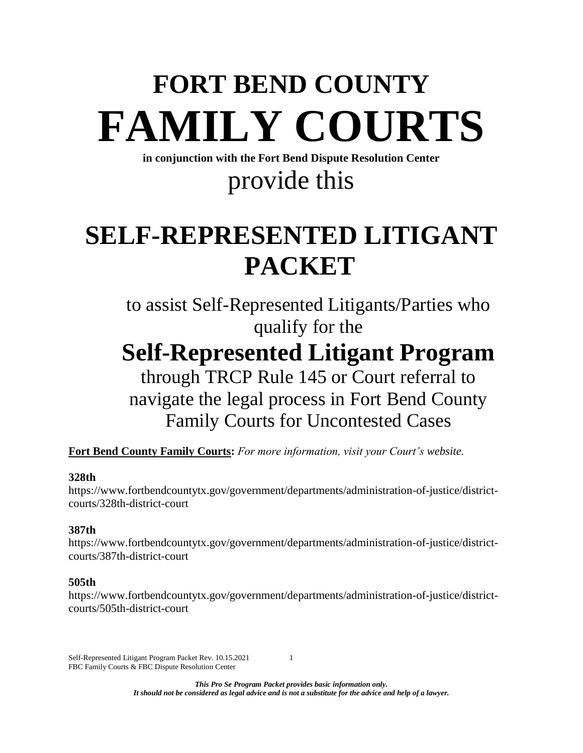# **FORT BEND COUNTY FAMILY COURTS**

**in conjunction with the Fort Bend Dispute Resolution Center**

## provide this

# **SELF-REPRESENTED LITIGANT PACKET**

to assist Self-Represented Litigants/Parties who qualify for the

# **Self-Represented Litigant Program**

### through TRCP Rule 145 or Court referral to navigate the legal process in Fort Bend County Family Courts for Uncontested Cases

**Fort Bend County Family Courts:** *For more information, visit your Court's website.*

#### **328th**

[https://www.fortbendcountytx.gov/government/departments/administration-of-justice/district](https://www.fortbendcountytx.gov/government/departments/administration-of-justice/district-courts/328th-district-court)[courts/328th-district-court](https://www.fortbendcountytx.gov/government/departments/administration-of-justice/district-courts/328th-district-court)

#### **387th**

[https://www.fortbendcountytx.gov/government/departments/administration-of-justice/district](https://www.fortbendcountytx.gov/government/departments/administration-of-justice/district-courts/387th-district-court)[courts/387th-district-court](https://www.fortbendcountytx.gov/government/departments/administration-of-justice/district-courts/387th-district-court)

#### **505th**

https://www.fortbendcountytx.gov/government/departments/administration-of-justice/districtcourts/505th-district-court

Self-Represented Litigant Program Packet Rev. 10.15.2021 1 FBC Family Courts & FBC Dispute Resolution Center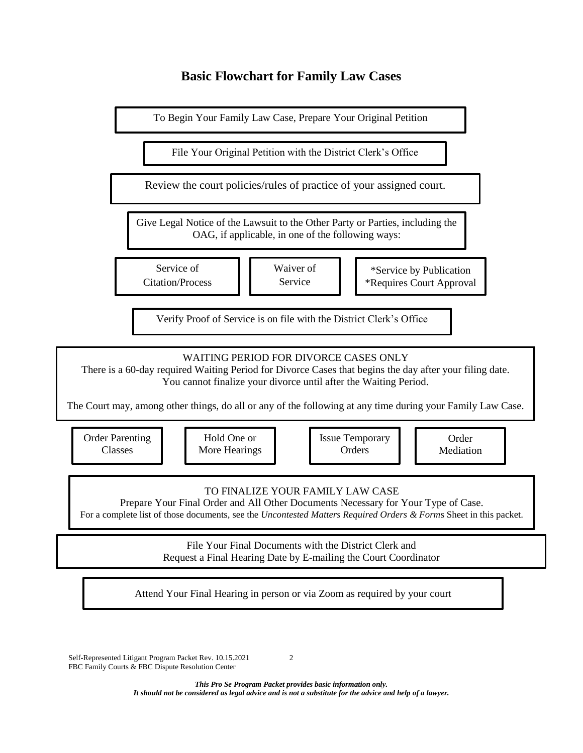#### **Basic Flowchart for Family Law Cases**



Self-Represented Litigant Program Packet Rev. 10.15.2021 2 FBC Family Courts & FBC Dispute Resolution Center

*This Pro Se Program Packet provides basic information only. It should not be considered as legal advice and is not a substitute for the advice and help of a lawyer.*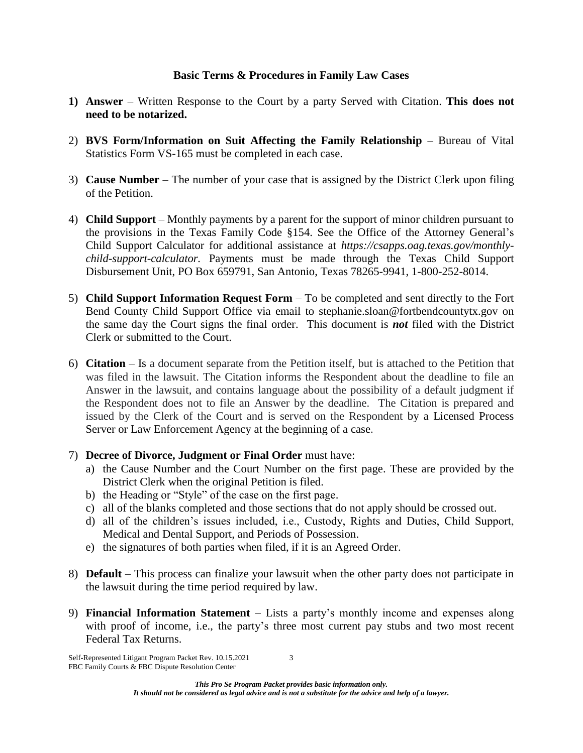#### **Basic Terms & Procedures in Family Law Cases**

- **1) Answer** Written Response to the Court by a party Served with Citation. **This does not need to be notarized.**
- 2) **BVS Form/Information on Suit Affecting the Family Relationship** Bureau of Vital Statistics Form VS-165 must be completed in each case.
- 3) **Cause Number** The number of your case that is assigned by the District Clerk upon filing of the Petition.
- 4) **Child Support** Monthly payments by a parent for the support of minor children pursuant to the provisions in the Texas Family Code §154. See the Office of the Attorney General's Child Support Calculator for additional assistance at *[https://csapps.oag.texas.gov/monthly](https://csapps.oag.texas.gov/monthly-child-support-calculator)[child-support-calculator.](https://csapps.oag.texas.gov/monthly-child-support-calculator)* Payments must be made through the Texas Child Support Disbursement Unit, PO Box 659791, San Antonio, Texas 78265-9941, 1-800-252-8014.
- 5) **Child Support Information Request Form** To be completed and sent directly to the Fort Bend County Child Support Office via email to [stephanie.sloan@fortbendcountytx.gov](mailto:stephanie.sloan@fortbendcountytx.gov) on the same day the Court signs the final order. This document is *not* filed with the District Clerk or submitted to the Court.
- 6) **Citation** Is a document separate from the Petition itself, but is attached to the Petition that was filed in the lawsuit. The Citation informs the Respondent about the deadline to file an Answer in the lawsuit, and contains language about the possibility of a default judgment if the Respondent does not to file an Answer by the deadline. The Citation is prepared and issued by the Clerk of the Court and is served on the Respondent by a Licensed Process Server or Law Enforcement Agency at the beginning of a case.
- 7) **Decree of Divorce, Judgment or Final Order** must have:
	- a) the Cause Number and the Court Number on the first page. These are provided by the District Clerk when the original Petition is filed.
	- b) the Heading or "Style" of the case on the first page.
	- c) all of the blanks completed and those sections that do not apply should be crossed out.
	- d) all of the children's issues included, i.e., Custody, Rights and Duties, Child Support, Medical and Dental Support, and Periods of Possession.
	- e) the signatures of both parties when filed, if it is an Agreed Order.
- 8) **Default** This process can finalize your lawsuit when the other party does not participate in the lawsuit during the time period required by law.
- 9) **Financial Information Statement** Lists a party's monthly income and expenses along with proof of income, i.e., the party's three most current pay stubs and two most recent Federal Tax Returns.

Self-Represented Litigant Program Packet Rev. 10.15.2021 3 FBC Family Courts & FBC Dispute Resolution Center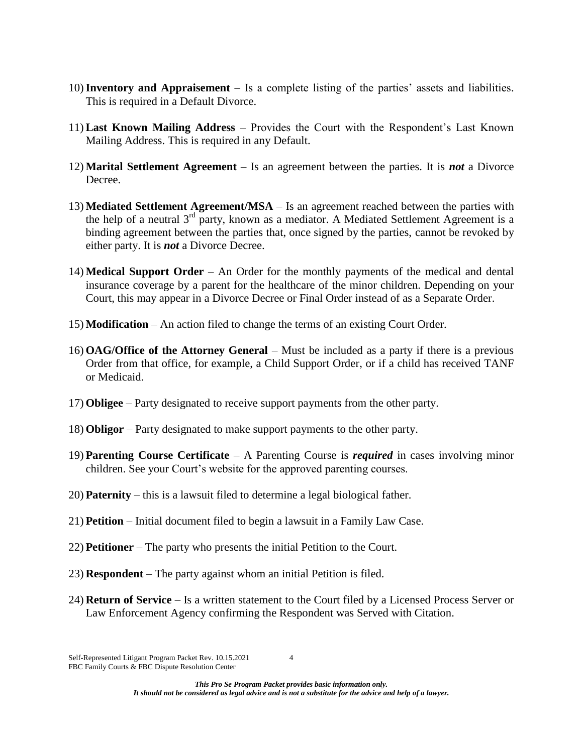- 10)**Inventory and Appraisement** Is a complete listing of the parties' assets and liabilities. This is required in a Default Divorce.
- 11) **Last Known Mailing Address** Provides the Court with the Respondent's Last Known Mailing Address. This is required in any Default.
- 12) **Marital Settlement Agreement** Is an agreement between the parties. It is *not* a Divorce Decree.
- 13) **Mediated Settlement Agreement/MSA** Is an agreement reached between the parties with the help of a neutral  $3^{rd}$  party, known as a mediator. A Mediated Settlement Agreement is a binding agreement between the parties that, once signed by the parties, cannot be revoked by either party. It is *not* a Divorce Decree.
- 14) **Medical Support Order** An Order for the monthly payments of the medical and dental insurance coverage by a parent for the healthcare of the minor children. Depending on your Court, this may appear in a Divorce Decree or Final Order instead of as a Separate Order.
- 15) **Modification** An action filed to change the terms of an existing Court Order.
- 16) **OAG/Office of the Attorney General** Must be included as a party if there is a previous Order from that office, for example, a Child Support Order, or if a child has received TANF or Medicaid.
- 17) **Obligee** Party designated to receive support payments from the other party.
- 18) **Obligor** Party designated to make support payments to the other party.
- 19) **Parenting Course Certificate** A Parenting Course is *required* in cases involving minor children. See your Court's website for the approved parenting courses.
- 20) **Paternity** this is a lawsuit filed to determine a legal biological father.
- 21) **Petition** Initial document filed to begin a lawsuit in a Family Law Case.
- 22) **Petitioner** The party who presents the initial Petition to the Court.
- 23) **Respondent** The party against whom an initial Petition is filed.
- 24) **Return of Service** Is a written statement to the Court filed by a Licensed Process Server or Law Enforcement Agency confirming the Respondent was Served with Citation.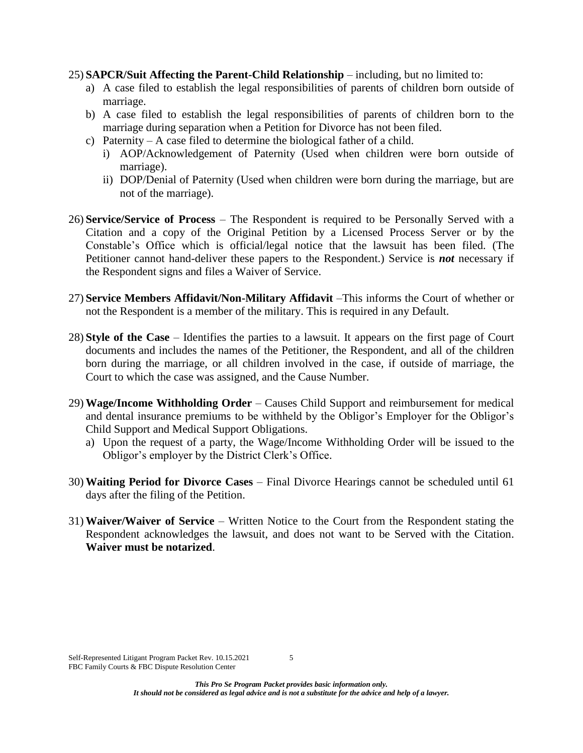25) **SAPCR/Suit Affecting the Parent-Child Relationship** – including, but no limited to:

- a) A case filed to establish the legal responsibilities of parents of children born outside of marriage.
- b) A case filed to establish the legal responsibilities of parents of children born to the marriage during separation when a Petition for Divorce has not been filed.
- c) Paternity A case filed to determine the biological father of a child.
	- i) AOP/Acknowledgement of Paternity (Used when children were born outside of marriage).
	- ii) DOP/Denial of Paternity (Used when children were born during the marriage, but are not of the marriage).
- 26) **Service/Service of Process** The Respondent is required to be Personally Served with a Citation and a copy of the Original Petition by a Licensed Process Server or by the Constable's Office which is official/legal notice that the lawsuit has been filed. (The Petitioner cannot hand-deliver these papers to the Respondent.) Service is *not* necessary if the Respondent signs and files a Waiver of Service.
- 27) **Service Members Affidavit/Non-Military Affidavit** –This informs the Court of whether or not the Respondent is a member of the military. This is required in any Default.
- 28) **Style of the Case** Identifies the parties to a lawsuit. It appears on the first page of Court documents and includes the names of the Petitioner, the Respondent, and all of the children born during the marriage, or all children involved in the case, if outside of marriage, the Court to which the case was assigned, and the Cause Number.
- 29) **Wage/Income Withholding Order** Causes Child Support and reimbursement for medical and dental insurance premiums to be withheld by the Obligor's Employer for the Obligor's Child Support and Medical Support Obligations.
	- a) Upon the request of a party, the Wage/Income Withholding Order will be issued to the Obligor's employer by the District Clerk's Office.
- 30) **Waiting Period for Divorce Cases** Final Divorce Hearings cannot be scheduled until 61 days after the filing of the Petition.
- 31) **Waiver/Waiver of Service** Written Notice to the Court from the Respondent stating the Respondent acknowledges the lawsuit, and does not want to be Served with the Citation. **Waiver must be notarized**.